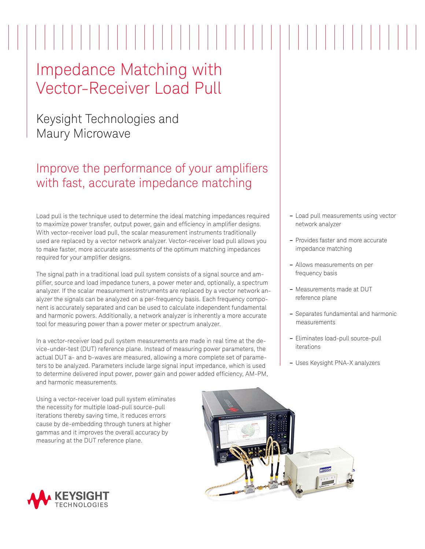# Impedance Matching with Vector-Receiver Load Pull

## Keysight Technologies and Maury Microwave

## Improve the performance of your amplifiers with fast, accurate impedance matching

Load pull is the technique used to determine the ideal matching impedances required to maximize power transfer, output power, gain and efficiency in amplifier designs. With vector-receiver load pull, the scalar measurement instruments traditionally used are replaced by a vector network analyzer. Vector-receiver load pull allows you to make faster, more accurate assessments of the optimum matching impedances required for your amplifier designs.

The signal path in a traditional load pull system consists of a signal source and amplifier, source and load impedance tuners, a power meter and, optionally, a spectrum analyzer. If the scalar measurement instruments are replaced by a vector network analyzer the signals can be analyzed on a per-frequency basis. Each frequency component is accurately separated and can be used to calculate independent fundamental and harmonic powers. Additionally, a network analyzer is inherently a more accurate tool for measuring power than a power meter or spectrum analyzer.

In a vector-receiver load pull system measurements are made in real time at the device-under-test (DUT) reference plane. Instead of measuring power parameters, the actual DUT a- and b-waves are measured, allowing a more complete set of parameters to be analyzed. Parameters include large signal input impedance, which is used to determine delivered input power, power gain and power added efficiency, AM-PM, and harmonic measurements.

- **–** Load pull measurements using vector network analyzer
- **–** Provides faster and more accurate impedance matching
- **–** Allows measurements on per frequency basis
- **–** Measurements made at DUT reference plane
- **–** Separates fundamental and harmonic measurements
- **–** Eliminates load-pull source-pull iterations
- **–** Uses Keysight PNA-X analyzers

Using a vector-receiver load pull system eliminates the necessity for multiple load-pull source-pull iterations thereby saving time, it reduces errors cause by de-embedding through tuners at higher gammas and it improves the overall accuracy by measuring at the DUT reference plane.